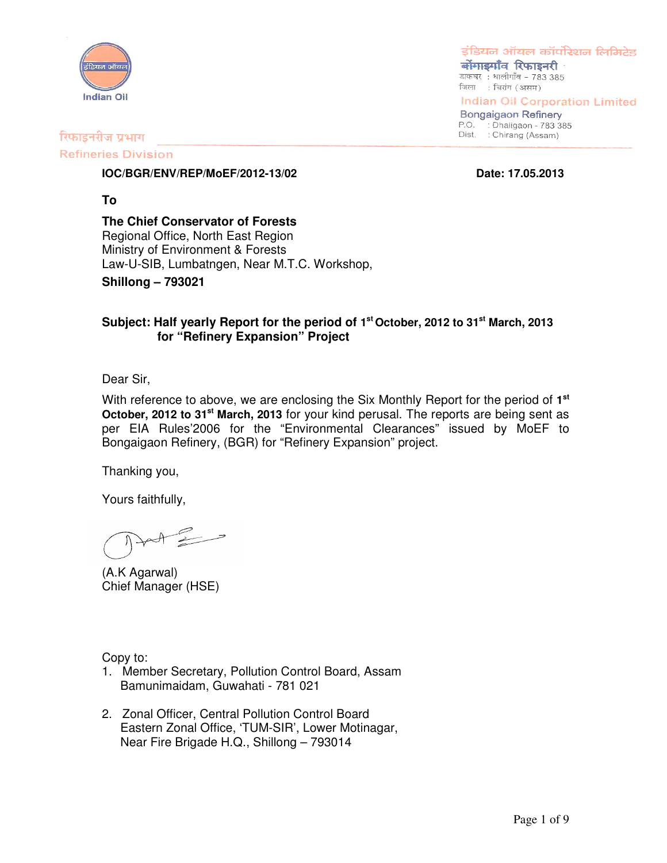

इंडियन ऑयल कॉर्पोरेशन लिमिटेड

बोंगाइगाँव रिफाइनरी डाकघर : धालीगाँव - 783 385 जिला : चिरांग (असम)

**Indian Oil Corporation Limited** 

**Bongaigaon Refinery** P.O. : Dhaligaon - 783 385 Dist. : Chirang (Assam)

#### रिफाइनरीज प्रभाग

#### **Refineries Division**

**IOC/BGR/ENV/REP/MoEF/2012-13/02 Date: 17.05.2013**

**To**

**The Chief Conservator of Forests** Regional Office, North East Region Ministry of Environment & Forests Law-U-SIB, Lumbatngen, Near M.T.C. Workshop,

**Shillong – 793021**

#### **Subject: Half yearly Report for the period of 1 st October, 2012 to 31 st March, 2013 for "Refinery Expansion" Project**

Dear Sir,

With reference to above, we are enclosing the Six Monthly Report for the period of 1<sup>st</sup> **October, 2012 to 31 st March, 2013** for your kind perusal. The reports are being sent as per EIA Rules'2006 for the "Environmental Clearances" issued by MoEF to Bongaigaon Refinery, (BGR) for "Refinery Expansion" project.

Thanking you,

Yours faithfully,

 $\mathscr{E}$ 

(A.K Agarwal) Chief Manager (HSE)

Copy to:

- 1. Member Secretary, Pollution Control Board, Assam Bamunimaidam, Guwahati - 781 021
- 2. Zonal Officer, Central Pollution Control Board Eastern Zonal Office, 'TUM-SIR', Lower Motinagar, Near Fire Brigade H.Q., Shillong – 793014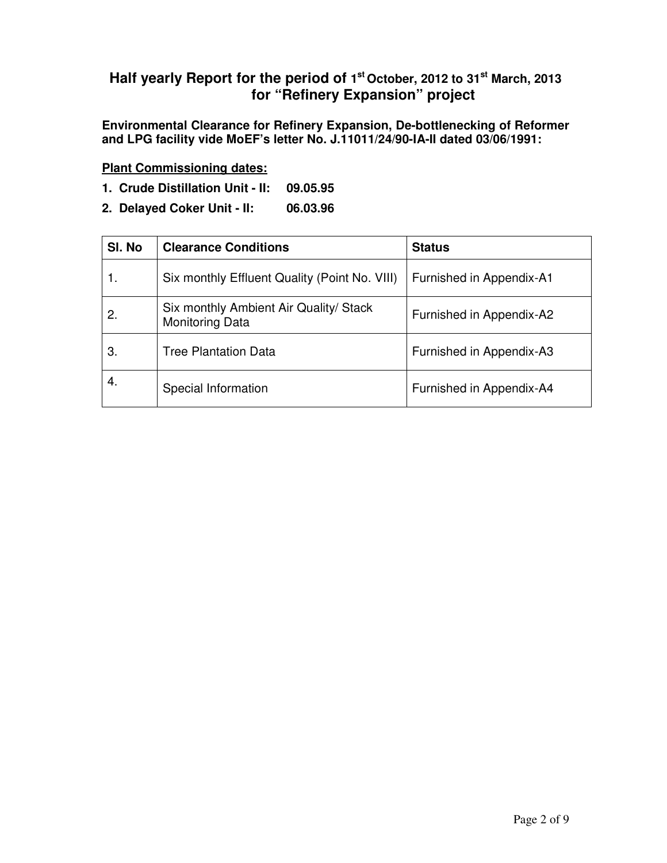### **Half yearly Report for the period of 1 st October, 2012 to 31 st March, 2013 for "Refinery Expansion" project**

**Environmental Clearance for Refinery Expansion, De-bottlenecking of Reformer and LPG facility vide MoEF's letter No. J.11011/24/90-IA-II dated 03/06/1991:**

**Plant Commissioning dates:**

- **1. Crude Distillation Unit - II: 09.05.95**
- **2. Delayed Coker Unit - II: 06.03.96**

| SI. No | <b>Clearance Conditions</b>                                      | <b>Status</b>            |
|--------|------------------------------------------------------------------|--------------------------|
|        | Six monthly Effluent Quality (Point No. VIII)                    | Furnished in Appendix-A1 |
| 2.     | Six monthly Ambient Air Quality/ Stack<br><b>Monitoring Data</b> | Furnished in Appendix-A2 |
| З.     | <b>Tree Plantation Data</b>                                      | Furnished in Appendix-A3 |
| 4.     | Special Information                                              | Furnished in Appendix-A4 |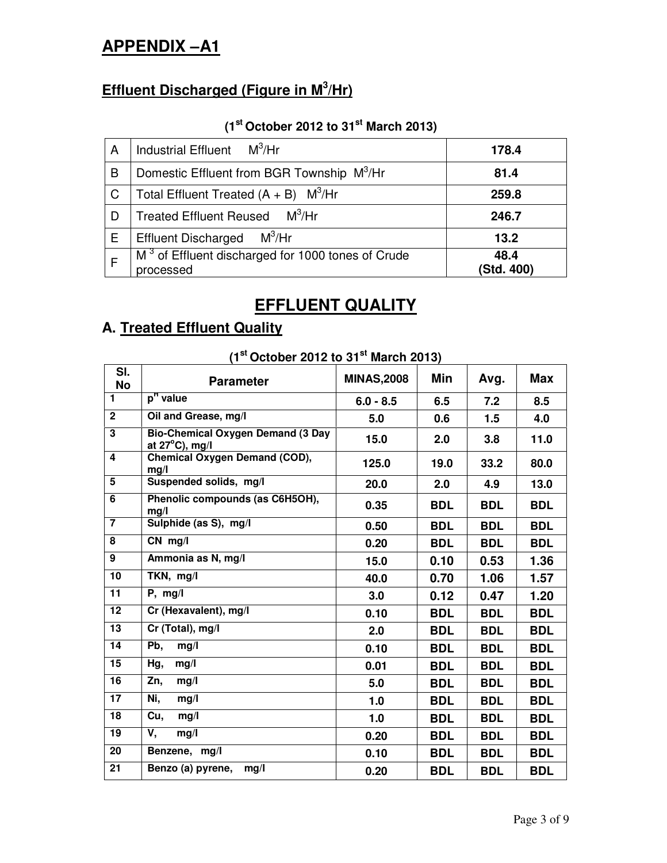# **APPENDIX –A1**

# **Effluent Discharged (Figure in M 3 /Hr)**

### **(1 st October 2012 to 31 st March 2013)**

| A | Industrial Effluent $M^3/Hr$                                               | 178.4              |
|---|----------------------------------------------------------------------------|--------------------|
| B | Domestic Effluent from BGR Township M <sup>3</sup> /Hr                     | 81.4               |
| C | Total Effluent Treated $(A + B)$ M <sup>3</sup> /Hr                        | 259.8              |
| D | Treated Effluent Reused M <sup>3</sup> /Hr                                 | 246.7              |
| Е | $M^3$ /Hr<br><b>Effluent Discharged</b>                                    | 13.2               |
|   | M <sup>3</sup> of Effluent discharged for 1000 tones of Crude<br>processed | 48.4<br>(Std. 400) |

# **EFFLUENT QUALITY**

# **A. Treated Effluent Quality**

| $\left(1$ October 2012 to 31 Intervit 2013) |                                                                      |                   |            |            |            |  |  |  |  |
|---------------------------------------------|----------------------------------------------------------------------|-------------------|------------|------------|------------|--|--|--|--|
| SI.<br><b>No</b>                            | <b>Parameter</b>                                                     | <b>MINAS,2008</b> | Min        | Avg.       | <b>Max</b> |  |  |  |  |
| $\blacksquare$                              | p <sup>H</sup> value                                                 | $6.0 - 8.5$       | 6.5        | 7.2        | 8.5        |  |  |  |  |
| $\overline{2}$                              | Oil and Grease, mg/l                                                 | 5.0               | 0.6        | 1.5        | 4.0        |  |  |  |  |
| 3                                           | <b>Bio-Chemical Oxygen Demand (3 Day</b><br>at $27^{\circ}$ C), mg/l | 15.0              | 2.0        | 3.8        | 11.0       |  |  |  |  |
| 4                                           | <b>Chemical Oxygen Demand (COD),</b><br>mg/l                         | 125.0             | 19.0       | 33.2       | 80.0       |  |  |  |  |
| 5                                           | Suspended solids, mg/l                                               | 20.0              | 2.0        | 4.9        | 13.0       |  |  |  |  |
| 6                                           | Phenolic compounds (as C6H5OH),<br>mg/l                              | 0.35              | <b>BDL</b> | <b>BDL</b> | <b>BDL</b> |  |  |  |  |
| $\overline{7}$                              | Sulphide (as S), mg/l                                                | 0.50              | <b>BDL</b> | <b>BDL</b> | <b>BDL</b> |  |  |  |  |
| 8                                           | $CN$ mg/l                                                            | 0.20              | <b>BDL</b> | <b>BDL</b> | <b>BDL</b> |  |  |  |  |
| 9                                           | Ammonia as N, mg/l                                                   | 15.0              | 0.10       | 0.53       | 1.36       |  |  |  |  |
| 10                                          | TKN, mg/l                                                            | 40.0              | 0.70       | 1.06       | 1.57       |  |  |  |  |
| $\overline{11}$                             | P, mg/l                                                              | 3.0               | 0.12       | 0.47       | 1.20       |  |  |  |  |
| 12                                          | Cr (Hexavalent), mg/l                                                | 0.10              | <b>BDL</b> | <b>BDL</b> | <b>BDL</b> |  |  |  |  |
| 13                                          | Cr (Total), mg/l                                                     | 2.0               | <b>BDL</b> | <b>BDL</b> | <b>BDL</b> |  |  |  |  |
| $\overline{14}$                             | Pb,<br>mg/l                                                          | 0.10              | <b>BDL</b> | <b>BDL</b> | <b>BDL</b> |  |  |  |  |
| 15                                          | Hg,<br>mg/l                                                          | 0.01              | <b>BDL</b> | <b>BDL</b> | <b>BDL</b> |  |  |  |  |
| 16                                          | Zn,<br>mg/l                                                          | 5.0               | <b>BDL</b> | <b>BDL</b> | <b>BDL</b> |  |  |  |  |
| 17                                          | Ni,<br>mq/l                                                          | 1.0               | <b>BDL</b> | <b>BDL</b> | <b>BDL</b> |  |  |  |  |
| $\overline{18}$                             | Cu,<br>mg/l                                                          | 1.0               | <b>BDL</b> | <b>BDL</b> | <b>BDL</b> |  |  |  |  |
| 19                                          | V,<br>mq/l                                                           | 0.20              | <b>BDL</b> | <b>BDL</b> | <b>BDL</b> |  |  |  |  |
| 20                                          | Benzene, mg/l                                                        | 0.10              | <b>BDL</b> | <b>BDL</b> | <b>BDL</b> |  |  |  |  |
| 21                                          | mg/l<br>Benzo (a) pyrene,                                            | 0.20              | <b>BDL</b> | <b>BDL</b> | <b>BDL</b> |  |  |  |  |

**(1 st October 2012 to 31 st March 2013)**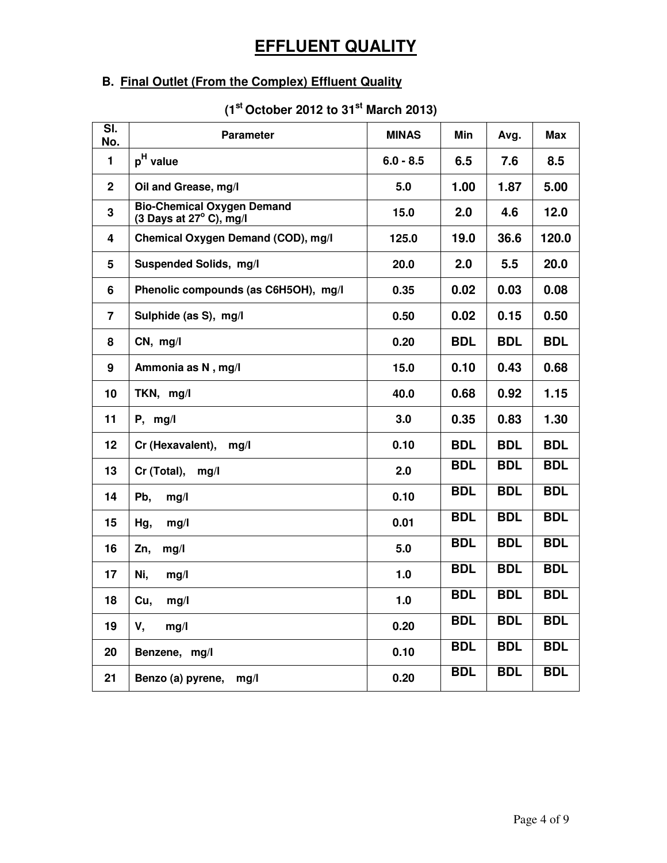# **EFFLUENT QUALITY**

## **B. Final Outlet (From the Complex) Effluent Quality**

| SI.<br>No.     | <b>Parameter</b>                                                      | <b>MINAS</b> | Min        | Avg.       | <b>Max</b> |
|----------------|-----------------------------------------------------------------------|--------------|------------|------------|------------|
| 1              | p <sup>H</sup> value                                                  | $6.0 - 8.5$  | 6.5        | 7.6        | 8.5        |
| $\overline{2}$ | Oil and Grease, mg/l                                                  | 5.0          | 1.00       | 1.87       | 5.00       |
| 3              | <b>Bio-Chemical Oxygen Demand</b><br>(3 Days at $27^{\circ}$ C), mg/l | 15.0         | 2.0        | 4.6        | 12.0       |
| 4              | Chemical Oxygen Demand (COD), mg/l                                    | 125.0        | 19.0       | 36.6       | 120.0      |
| $5\phantom{1}$ | Suspended Solids, mg/l                                                | 20.0         | 2.0        | 5.5        | 20.0       |
| 6              | Phenolic compounds (as C6H5OH), mg/l                                  | 0.35         | 0.02       | 0.03       | 0.08       |
| $\overline{7}$ | Sulphide (as S), mg/l                                                 | 0.50         | 0.02       | 0.15       | 0.50       |
| 8              | CN, mg/l                                                              | 0.20         | <b>BDL</b> | <b>BDL</b> | <b>BDL</b> |
| 9              | Ammonia as N, mg/l                                                    | 15.0         | 0.10       | 0.43       | 0.68       |
| 10             | TKN, mg/l                                                             | 40.0         | 0.68       | 0.92       | 1.15       |
| 11             | $P,$ mg/l                                                             | 3.0          | 0.35       | 0.83       | 1.30       |
| 12             | Cr (Hexavalent),<br>mg/l                                              | 0.10         | <b>BDL</b> | <b>BDL</b> | <b>BDL</b> |
| 13             | Cr (Total),<br>mg/l                                                   | 2.0          | <b>BDL</b> | <b>BDL</b> | <b>BDL</b> |
| 14             | Pb,<br>mg/l                                                           | 0.10         | <b>BDL</b> | <b>BDL</b> | <b>BDL</b> |
| 15             | Hg,<br>mg/l                                                           | 0.01         | <b>BDL</b> | <b>BDL</b> | <b>BDL</b> |
| 16             | Zn,<br>mg/l                                                           | 5.0          | <b>BDL</b> | <b>BDL</b> | <b>BDL</b> |
| 17             | Ni,<br>mg/l                                                           | 1.0          | <b>BDL</b> | <b>BDL</b> | <b>BDL</b> |
| 18             | Cu,<br>mg/l                                                           | 1.0          | <b>BDL</b> | <b>BDL</b> | <b>BDL</b> |
| 19             | V,<br>mg/l                                                            | 0.20         | <b>BDL</b> | <b>BDL</b> | <b>BDL</b> |
| 20             | Benzene, mg/l                                                         | 0.10         | <b>BDL</b> | <b>BDL</b> | <b>BDL</b> |
| 21             | Benzo (a) pyrene,<br>mg/l                                             | 0.20         | <b>BDL</b> | <b>BDL</b> | <b>BDL</b> |

#### **(1 st October 2012 to 31 st March 2013)**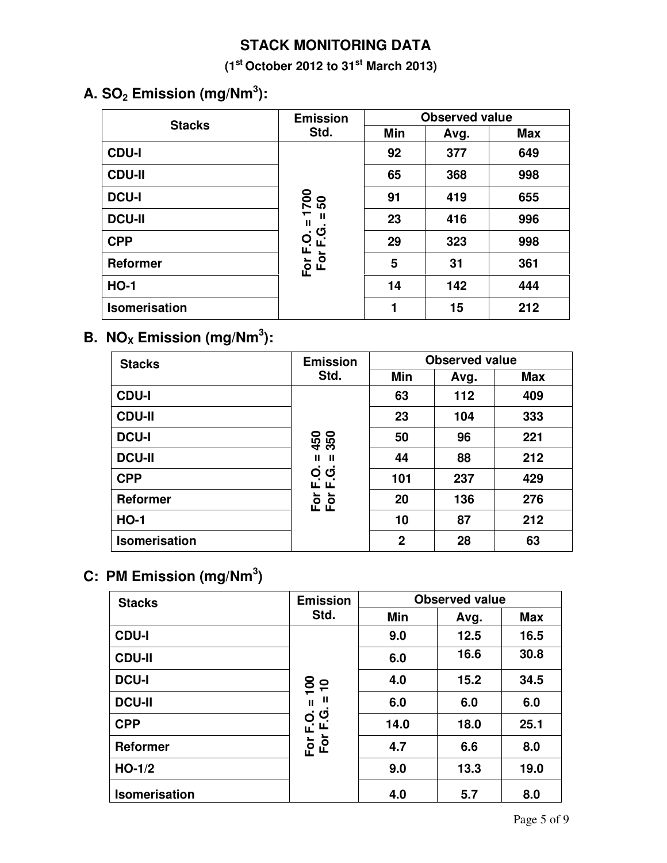## **STACK MONITORING DATA**

**(1 st October 2012 to 31 st March 2013)**

# **A. SO<sup>2</sup> Emission (mg/Nm 3 ):**

| <b>Stacks</b>        | <b>Emission</b>                                       | <b>Observed value</b> |      |            |  |  |
|----------------------|-------------------------------------------------------|-----------------------|------|------------|--|--|
|                      | Std.                                                  | Min                   | Avg. | <b>Max</b> |  |  |
| <b>CDU-I</b>         |                                                       | 92                    | 377  | 649        |  |  |
| <b>CDU-II</b>        |                                                       | 65                    | 368  | 998        |  |  |
| <b>DCU-I</b>         | <u>20</u><br>50<br>$\overline{\phantom{0}}$<br>Ш<br>ш | 91                    | 419  | 655        |  |  |
| <b>DCU-II</b>        |                                                       | 23                    | 416  | 996        |  |  |
| <b>CPP</b>           | ပ<br>Ó.<br>ட<br>ц.                                    | 29                    | 323  | 998        |  |  |
| <b>Reformer</b>      | <b>Eo</b><br>Fo                                       | 5                     | 31   | 361        |  |  |
| <b>HO-1</b>          |                                                       | 14                    | 142  | 444        |  |  |
| <b>Isomerisation</b> |                                                       | 1                     | 15   | 212        |  |  |

## **B.**  $NO_{X}$  **Emission** (mg/Nm<sup>3</sup>):

| <b>Stacks</b>        | <b>Emission</b>   | <b>Observed value</b> |      |            |  |  |
|----------------------|-------------------|-----------------------|------|------------|--|--|
|                      | Std.              | Min                   | Avg. | <b>Max</b> |  |  |
| <b>CDU-I</b>         |                   | 63                    | 112  | 409        |  |  |
| <b>CDU-II</b>        |                   | 23                    | 104  | 333        |  |  |
| <b>DCU-I</b>         | 350<br>450        | 50                    | 96   | 221        |  |  |
| <b>DCU-II</b>        | Ш<br>Ш            | 44                    | 88   | 212        |  |  |
| <b>CPP</b>           | Q<br>O<br>ட<br>щ. | 101                   | 237  | 429        |  |  |
| Reformer             | ►<br>E Q<br>E Q   | 20                    | 136  | 276        |  |  |
| <b>HO-1</b>          |                   | 10                    | 87   | 212        |  |  |
| <b>Isomerisation</b> |                   | $\mathbf 2$           | 28   | 63         |  |  |

## **C: PM Emission (mg/Nm 3 )**

| <b>Stacks</b>        | <b>Emission</b>                   | <b>Observed value</b> |      |            |  |  |
|----------------------|-----------------------------------|-----------------------|------|------------|--|--|
|                      | Std.                              |                       | Avg. | <b>Max</b> |  |  |
| <b>CDU-I</b>         |                                   | 9.0                   | 12.5 | 16.5       |  |  |
| <b>CDU-II</b>        |                                   | 6.0                   | 16.6 | 30.8       |  |  |
| <b>DCU-I</b>         | $\overline{100}$<br>$\frac{1}{1}$ | 4.0                   | 15.2 | 34.5       |  |  |
| <b>DCU-II</b>        | Ш<br>$\mathbf{I}$                 | 6.0                   | 6.0  | 6.0        |  |  |
| <b>CPP</b>           | For F.O.<br>For F.G.              | 14.0                  | 18.0 | 25.1       |  |  |
| <b>Reformer</b>      | For                               | 4.7                   | 6.6  | 8.0        |  |  |
| $HO-1/2$             |                                   | 9.0                   | 13.3 | 19.0       |  |  |
| <b>Isomerisation</b> |                                   | 4.0                   | 5.7  | 8.0        |  |  |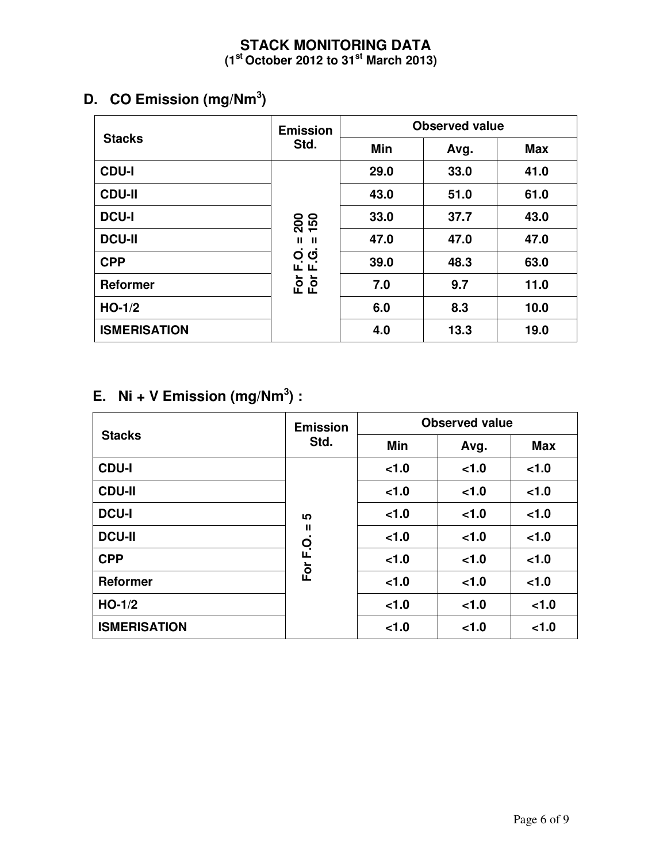### **STACK MONITORING DATA (1 st October 2012 to 31 st March 2013)**

## **D. CO Emission (mg/Nm 3 )**

|                     | <b>Emission</b>             | <b>Observed value</b> |      |      |  |  |  |
|---------------------|-----------------------------|-----------------------|------|------|--|--|--|
| <b>Stacks</b>       | Std.                        | Min                   | Avg. | Max  |  |  |  |
| <b>CDU-I</b>        |                             | 29.0                  | 33.0 | 41.0 |  |  |  |
| <b>CDU-II</b>       |                             | 43.0                  | 51.0 | 61.0 |  |  |  |
| <b>DCU-I</b>        | 200<br>150                  | 33.0                  | 37.7 | 43.0 |  |  |  |
| <b>DCU-II</b>       | $\mathbf{II}$ $\mathbf{II}$ | 47.0                  | 47.0 | 47.0 |  |  |  |
| <b>CPP</b>          | O G<br>L L                  | 39.0                  | 48.3 | 63.0 |  |  |  |
| <b>Reformer</b>     | Fōr<br>For                  | 7.0                   | 9.7  | 11.0 |  |  |  |
| $HO-1/2$            |                             | 6.0                   | 8.3  | 10.0 |  |  |  |
| <b>ISMERISATION</b> |                             | 4.0                   | 13.3 | 19.0 |  |  |  |

## **E.** Ni + V **Emission** (mg/Nm<sup>3</sup>) :

|                     | <b>Emission</b> | <b>Observed value</b> |      |            |  |  |  |
|---------------------|-----------------|-----------------------|------|------------|--|--|--|
| <b>Stacks</b>       | Std.            | Min                   | Avg. | <b>Max</b> |  |  |  |
| <b>CDU-I</b>        |                 | 1.0                   | 1.0  | 1.0        |  |  |  |
| <b>CDU-II</b>       |                 | < 1.0                 | 1.0  | 1.0        |  |  |  |
| <b>DCU-I</b>        | ທ               | 1.0                   | 1.0  | < 1.0      |  |  |  |
| <b>DCU-II</b>       | Ш               | 1.0                   | 1.0  | 1.0        |  |  |  |
| <b>CPP</b>          | C.<br>L.        | < 1.0                 | 1.0  | 1.0        |  |  |  |
| <b>Reformer</b>     | For             | < 1.0                 | 1.0  | 1.0        |  |  |  |
| $HO-1/2$            |                 | 1.0                   | 1.0  | 1.0        |  |  |  |
| <b>ISMERISATION</b> |                 | 1.0                   | 1.0  | 1.0        |  |  |  |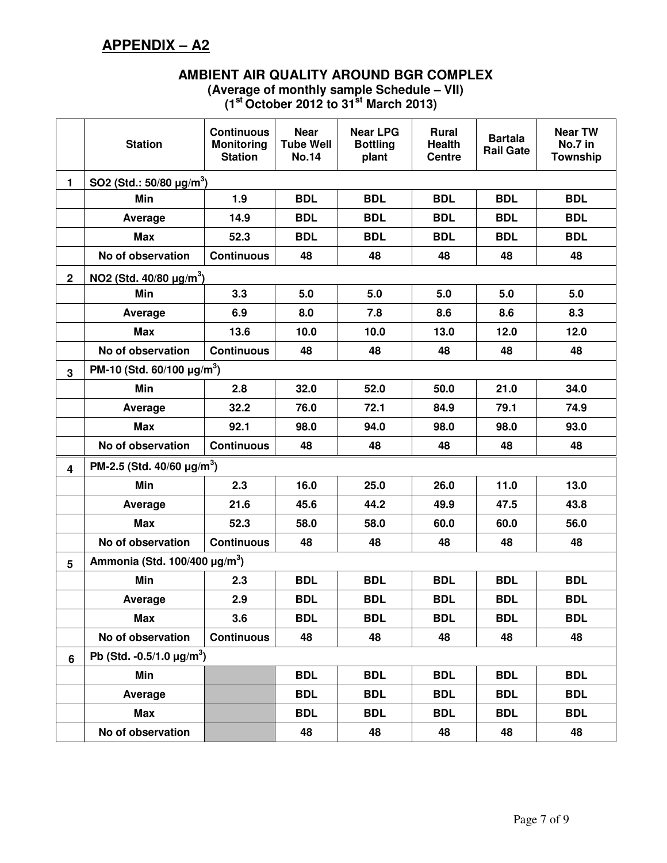## **APPENDIX – A2**

#### **AMBIENT AIR QUALITY AROUND BGR COMPLEX (Average of monthly sample Schedule – VII) (1 st October 2012 to 31 st March 2013)**

|                | <b>Station</b>                                 | <b>Continuous</b><br><b>Monitoring</b><br><b>Station</b> | <b>Near</b><br><b>Tube Well</b><br><b>No.14</b> | <b>Near LPG</b><br><b>Bottling</b><br>plant | <b>Rural</b><br><b>Health</b><br><b>Centre</b> | <b>Bartala</b><br><b>Rail Gate</b> | <b>Near TW</b><br>No.7 in<br><b>Township</b> |  |  |  |  |
|----------------|------------------------------------------------|----------------------------------------------------------|-------------------------------------------------|---------------------------------------------|------------------------------------------------|------------------------------------|----------------------------------------------|--|--|--|--|
| $\mathbf{1}$   | SO2 (Std.: $50/80 \mu g/m^3$ )                 |                                                          |                                                 |                                             |                                                |                                    |                                              |  |  |  |  |
|                | Min                                            | 1.9                                                      | <b>BDL</b>                                      | <b>BDL</b>                                  | <b>BDL</b>                                     | <b>BDL</b>                         | <b>BDL</b>                                   |  |  |  |  |
|                | Average                                        | 14.9                                                     | <b>BDL</b>                                      | <b>BDL</b>                                  | <b>BDL</b>                                     | <b>BDL</b>                         | <b>BDL</b>                                   |  |  |  |  |
|                | <b>Max</b>                                     | 52.3                                                     | <b>BDL</b>                                      | <b>BDL</b>                                  | <b>BDL</b>                                     | <b>BDL</b>                         | <b>BDL</b>                                   |  |  |  |  |
|                | No of observation                              | <b>Continuous</b>                                        | 48                                              | 48                                          | 48                                             | 48                                 | 48                                           |  |  |  |  |
| $\overline{2}$ | NO2 (Std. $40/80 \mu g/m^3$ )                  |                                                          |                                                 |                                             |                                                |                                    |                                              |  |  |  |  |
|                | Min                                            | 3.3                                                      | 5.0                                             | 5.0                                         | 5.0                                            | 5.0                                | 5.0                                          |  |  |  |  |
|                | Average                                        | 6.9                                                      | 8.0                                             | 7.8                                         | 8.6                                            | 8.6                                | 8.3                                          |  |  |  |  |
|                | <b>Max</b>                                     | 13.6                                                     | 10.0                                            | 10.0                                        | 13.0                                           | 12.0                               | 12.0                                         |  |  |  |  |
|                | No of observation                              | <b>Continuous</b>                                        | 48                                              | 48                                          | 48                                             | 48                                 | 48                                           |  |  |  |  |
| $\mathbf{3}$   | PM-10 (Std. 60/100 $\mu$ g/m <sup>3</sup> )    |                                                          |                                                 |                                             |                                                |                                    |                                              |  |  |  |  |
|                | Min                                            | 2.8                                                      | 32.0                                            | 52.0                                        | 50.0                                           | 21.0                               | 34.0                                         |  |  |  |  |
|                | Average                                        | 32.2                                                     | 76.0                                            | 72.1                                        | 84.9                                           | 79.1                               | 74.9                                         |  |  |  |  |
|                | Max                                            | 92.1                                                     | 98.0                                            | 94.0                                        | 98.0                                           | 98.0                               | 93.0                                         |  |  |  |  |
|                | No of observation                              | <b>Continuous</b>                                        | 48                                              | 48                                          | 48                                             | 48                                 | 48                                           |  |  |  |  |
| 4              | PM-2.5 (Std. 40/60 $\mu$ g/m <sup>3</sup> )    |                                                          |                                                 |                                             |                                                |                                    |                                              |  |  |  |  |
|                | Min                                            | 2.3                                                      | 16.0                                            | 25.0                                        | 26.0                                           | 11.0                               | 13.0                                         |  |  |  |  |
|                | Average                                        | 21.6                                                     | 45.6                                            | 44.2                                        | 49.9                                           | 47.5                               | 43.8                                         |  |  |  |  |
|                | <b>Max</b>                                     | 52.3                                                     | 58.0                                            | 58.0                                        | 60.0                                           | 60.0                               | 56.0                                         |  |  |  |  |
|                | No of observation                              | <b>Continuous</b>                                        | 48                                              | 48                                          | 48                                             | 48                                 | 48                                           |  |  |  |  |
| 5              | Ammonia (Std. 100/400 $\mu$ g/m <sup>3</sup> ) |                                                          |                                                 |                                             |                                                |                                    |                                              |  |  |  |  |
|                | <b>Min</b>                                     | 2.3                                                      | <b>BDL</b>                                      | <b>BDL</b>                                  | <b>BDL</b>                                     | <b>BDL</b>                         | <b>BDL</b>                                   |  |  |  |  |
|                | Average                                        | 2.9                                                      | <b>BDL</b>                                      | <b>BDL</b>                                  | <b>BDL</b>                                     | <b>BDL</b>                         | <b>BDL</b>                                   |  |  |  |  |
|                | <b>Max</b>                                     | 3.6                                                      | <b>BDL</b>                                      | <b>BDL</b>                                  | <b>BDL</b>                                     | <b>BDL</b>                         | <b>BDL</b>                                   |  |  |  |  |
|                | No of observation                              | <b>Continuous</b>                                        | 48                                              | 48                                          | 48                                             | 48                                 | 48                                           |  |  |  |  |
| 6              | Pb (Std. -0.5/1.0 $\mu$ g/m <sup>3</sup> )     |                                                          |                                                 |                                             |                                                |                                    |                                              |  |  |  |  |
|                | Min                                            |                                                          | <b>BDL</b>                                      | <b>BDL</b>                                  | <b>BDL</b>                                     | <b>BDL</b>                         | <b>BDL</b>                                   |  |  |  |  |
|                | Average                                        |                                                          | <b>BDL</b>                                      | <b>BDL</b>                                  | <b>BDL</b>                                     | <b>BDL</b>                         | <b>BDL</b>                                   |  |  |  |  |
|                | <b>Max</b>                                     |                                                          | <b>BDL</b>                                      | <b>BDL</b>                                  | <b>BDL</b>                                     | <b>BDL</b>                         | <b>BDL</b>                                   |  |  |  |  |
|                | No of observation                              |                                                          | 48                                              | 48                                          | 48                                             | 48                                 | 48                                           |  |  |  |  |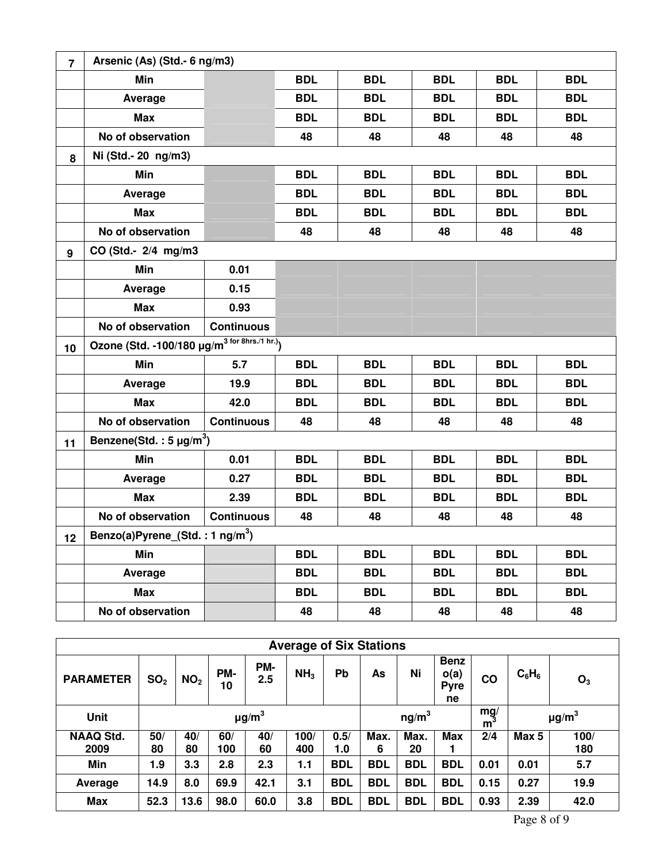| $\overline{7}$ | Arsenic (As) (Std.- 6 ng/m3)                              |                   |            |            |            |            |            |  |  |  |
|----------------|-----------------------------------------------------------|-------------------|------------|------------|------------|------------|------------|--|--|--|
|                | Min                                                       |                   | <b>BDL</b> | <b>BDL</b> | <b>BDL</b> | <b>BDL</b> | <b>BDL</b> |  |  |  |
|                | Average                                                   |                   | <b>BDL</b> | <b>BDL</b> | <b>BDL</b> | <b>BDL</b> | <b>BDL</b> |  |  |  |
|                | <b>Max</b>                                                |                   | <b>BDL</b> | <b>BDL</b> | <b>BDL</b> | <b>BDL</b> | <b>BDL</b> |  |  |  |
|                | No of observation                                         |                   | 48         | 48         | 48         | 48         | 48         |  |  |  |
| 8              | Ni (Std.- 20 ng/m3)                                       |                   |            |            |            |            |            |  |  |  |
|                | Min                                                       |                   | <b>BDL</b> | <b>BDL</b> | <b>BDL</b> | <b>BDL</b> | <b>BDL</b> |  |  |  |
|                | Average                                                   |                   | <b>BDL</b> | <b>BDL</b> | <b>BDL</b> | <b>BDL</b> | <b>BDL</b> |  |  |  |
|                | <b>Max</b>                                                |                   | <b>BDL</b> | <b>BDL</b> | <b>BDL</b> | <b>BDL</b> | <b>BDL</b> |  |  |  |
|                | No of observation                                         |                   | 48         | 48         | 48         | 48         | 48         |  |  |  |
| 9              | CO (Std.- 2/4 mg/m3                                       |                   |            |            |            |            |            |  |  |  |
|                | Min                                                       | 0.01              |            |            |            |            |            |  |  |  |
|                | Average                                                   | 0.15              |            |            |            |            |            |  |  |  |
|                | <b>Max</b>                                                | 0.93              |            |            |            |            |            |  |  |  |
|                | No of observation                                         | <b>Continuous</b> |            |            |            |            |            |  |  |  |
| 10             | Ozone (Std. -100/180 µg/m <sup>3 for 8hrs./1 hr.)</sup> ) |                   |            |            |            |            |            |  |  |  |
|                | Min                                                       | 5.7               | <b>BDL</b> | <b>BDL</b> | <b>BDL</b> | <b>BDL</b> | <b>BDL</b> |  |  |  |
|                | Average                                                   | 19.9              | <b>BDL</b> | <b>BDL</b> | <b>BDL</b> | <b>BDL</b> | <b>BDL</b> |  |  |  |
|                | <b>Max</b>                                                | 42.0              | <b>BDL</b> | <b>BDL</b> | <b>BDL</b> | <b>BDL</b> | <b>BDL</b> |  |  |  |
|                | No of observation                                         | <b>Continuous</b> | 48         | 48         | 48         | 48         | 48         |  |  |  |
| 11             | Benzene(Std.: $5 \mu g/m^3$ )                             |                   |            |            |            |            |            |  |  |  |
|                | Min                                                       | 0.01              | <b>BDL</b> | <b>BDL</b> | <b>BDL</b> | <b>BDL</b> | <b>BDL</b> |  |  |  |
|                | Average                                                   | 0.27              | <b>BDL</b> | <b>BDL</b> | <b>BDL</b> | <b>BDL</b> | <b>BDL</b> |  |  |  |
|                | <b>Max</b>                                                | 2.39              | <b>BDL</b> | <b>BDL</b> | <b>BDL</b> | <b>BDL</b> | <b>BDL</b> |  |  |  |
|                | No of observation                                         | <b>Continuous</b> | 48         | 48         | 48         | 48         | 48         |  |  |  |
| 12             | Benzo(a)Pyrene_(Std.: 1 ng/m <sup>3</sup> )               |                   |            |            |            |            |            |  |  |  |
|                | Min                                                       |                   | <b>BDL</b> | <b>BDL</b> | <b>BDL</b> | <b>BDL</b> | <b>BDL</b> |  |  |  |
|                | Average                                                   |                   | <b>BDL</b> | <b>BDL</b> | <b>BDL</b> | <b>BDL</b> | <b>BDL</b> |  |  |  |
|                | <b>Max</b>                                                |                   | <b>BDL</b> | <b>BDL</b> | <b>BDL</b> | <b>BDL</b> | <b>BDL</b> |  |  |  |
|                | No of observation                                         |                   | 48         | 48         | 48         | 48         | 48         |  |  |  |

| <b>Average of Six Stations</b> |                        |                 |           |            |                 |                   |            |            |                                          |      |                        |                |
|--------------------------------|------------------------|-----------------|-----------|------------|-----------------|-------------------|------------|------------|------------------------------------------|------|------------------------|----------------|
| <b>PARAMETER</b>               | SO <sub>2</sub>        | NO <sub>2</sub> | PM-<br>10 | PM-<br>2.5 | NH <sub>3</sub> | Pb                | As         | Ni         | <b>Benz</b><br>o(a)<br><b>Pyre</b><br>ne | CO   | $C_6H_6$               | O <sub>3</sub> |
| <b>Unit</b>                    | $\mu$ g/m <sup>3</sup> |                 |           |            |                 | ng/m <sup>3</sup> |            |            | mg/<br>m                                 |      | $\mu$ g/m <sup>3</sup> |                |
| <b>NAAQ Std.</b>               | 50/                    | 40/             | 60/       | 40/        | 100/            | 0.5/              | Max.       | Max.       | <b>Max</b>                               | 2/4  | Max 5                  | 100/           |
| 2009                           | 80                     | 80              | 100       | 60         | 400             | 1.0               | 6          | 20         |                                          |      |                        | 180            |
| Min                            | 1.9                    | 3.3             | 2.8       | 2.3        | 1.1             | <b>BDL</b>        | <b>BDL</b> | <b>BDL</b> | <b>BDL</b>                               | 0.01 | 0.01                   | 5.7            |
| Average                        | 14.9                   | 8.0             | 69.9      | 42.1       | 3.1             | <b>BDL</b>        | <b>BDL</b> | <b>BDL</b> | <b>BDL</b>                               | 0.15 | 0.27                   | 19.9           |
| <b>Max</b>                     | 52.3                   | 13.6            | 98.0      | 60.0       | 3.8             | <b>BDL</b>        | <b>BDL</b> | <b>BDL</b> | <b>BDL</b>                               | 0.93 | 2.39                   | 42.0           |

Page 8 of 9